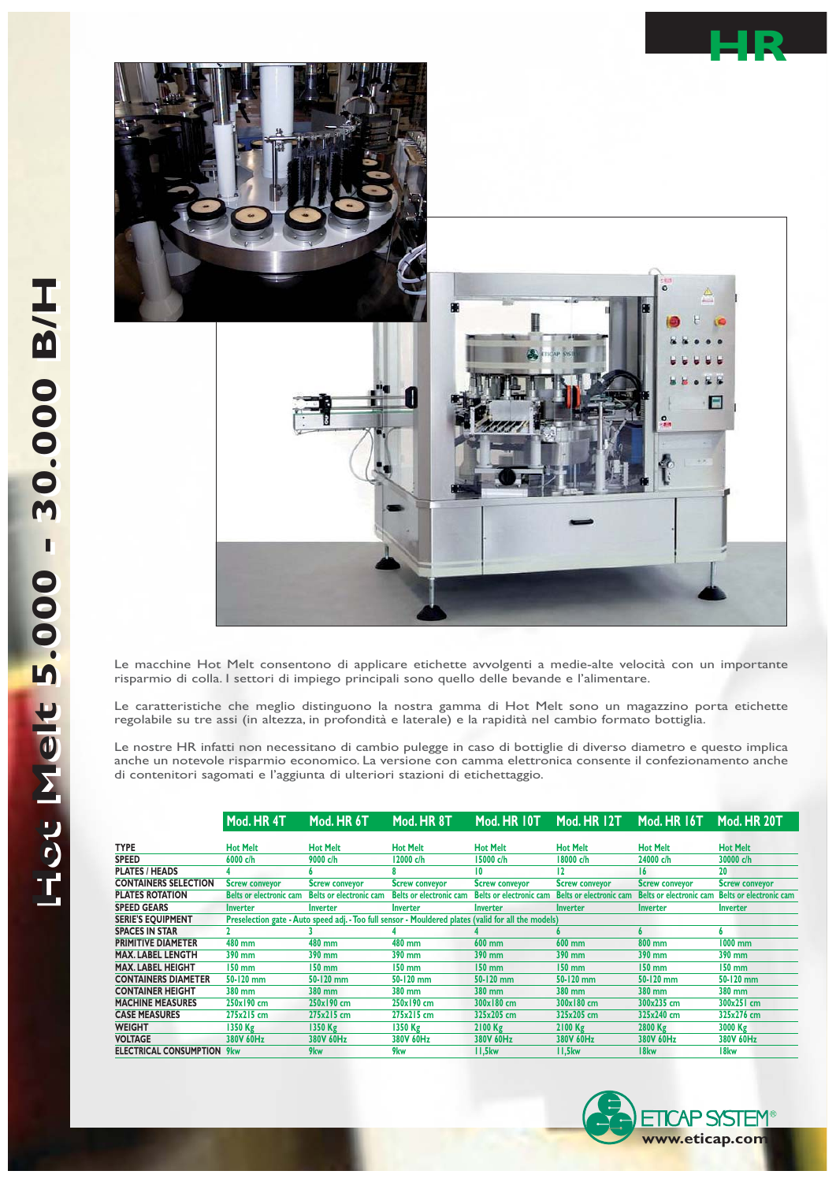

Le macchine Hot Melt consentono di applicare etichette avvolgenti a medie-alte velocità con un importante risparmio di colla. I settori di impiego principali sono quello delle bevande e l'alimentare.

Le caratteristiche che meglio distinguono la nostra gamma di Hot Melt sono un magazzino porta etichette regolabile su tre assi (in altezza, in profondità e laterale) e la rapidità nel cambio formato bottiglia.

Le nostre HR infatti non necessitano di cambio pulegge in caso di bottiglie di diverso diametro e questo implica anche un notevole risparmio economico. La versione con camma elettronica consente il confezionamento anche di contenitori sagomati e l'aggiunta di ulteriori stazioni di etichettaggio.

|                                   | Mod. HR 4T                                                                                          | Mod. HR 6T                     | Mod. HR 8T                     | Mod. HR 10T                    | Mod. HR 12T                    | Mod. HR 16T                    | Mod. HR 20T                    |
|-----------------------------------|-----------------------------------------------------------------------------------------------------|--------------------------------|--------------------------------|--------------------------------|--------------------------------|--------------------------------|--------------------------------|
| <b>TYPE</b>                       | <b>Hot Melt</b>                                                                                     | <b>Hot Melt</b>                | <b>Hot Melt</b>                | <b>Hot Melt</b>                | <b>Hot Melt</b>                | <b>Hot Melt</b>                | <b>Hot Melt</b>                |
| <b>SPEED</b>                      | 6000 c/h                                                                                            | 9000 c/h                       | 12000 c/h                      | 15000 c/h                      | 18000 c/h                      | 24000 c/h                      | 30000 c/h                      |
| <b>PLATES / HEADS</b>             |                                                                                                     |                                |                                | 10                             | 12                             | 16                             | 20                             |
| <b>CONTAINERS SELECTION</b>       | <b>Screw conveyor</b>                                                                               | <b>Screw conveyor</b>          | <b>Screw conveyor</b>          | <b>Screw conveyor</b>          | <b>Screw conveyor</b>          | <b>Screw conveyor</b>          | <b>Screw conveyor</b>          |
| <b>PLATES ROTATION</b>            | <b>Belts or electronic cam</b>                                                                      | <b>Belts or electronic cam</b> | <b>Belts or electronic cam</b> | <b>Belts or electronic cam</b> | <b>Belts or electronic cam</b> | <b>Belts or electronic cam</b> | <b>Belts or electronic cam</b> |
| <b>SPEED GEARS</b>                | <b>Inverter</b>                                                                                     | <b>Inverter</b>                | <b>Inverter</b>                | <b>Inverter</b>                | Inverter                       | Inverter                       | Inverter                       |
| <b>SERIE'S EOUIPMENT</b>          | Preselection gate - Auto speed adj. - Too full sensor - Mouldered plates (valid for all the models) |                                |                                |                                |                                |                                |                                |
| <b>SPACES IN STAR</b>             |                                                                                                     |                                |                                |                                |                                | 6                              | 6                              |
| <b>PRIMITIVE DIAMETER</b>         | 480 mm                                                                                              | 480 mm                         | 480 mm                         | 600 mm                         | $600$ mm                       | 800 mm                         | 1000 mm                        |
| <b>MAX. LABEL LENGTH</b>          | 390 mm                                                                                              | 390 mm                         | 390 mm                         | 390 mm                         | 390 mm                         | 390 mm                         | 390 mm                         |
| <b>MAX. LABEL HEIGHT</b>          | $150 \text{ mm}$                                                                                    | 150 mm                         | 150 mm                         | 150 mm                         | 150 mm                         | 150 mm                         | $150$ mm                       |
| <b>CONTAINERS DIAMETER</b>        | 50-120 mm                                                                                           | 50-120 mm                      | 50-120 mm                      | 50-120 mm                      | 50-120 mm                      | 50-120 mm                      | 50-120 mm                      |
| <b>CONTAINER HEIGHT</b>           | 380 mm                                                                                              | 380 mm                         | 380 mm                         | 380 mm                         | 380 mm                         | 380 mm                         | 380 mm                         |
| <b>MACHINE MEASURES</b>           | 250x190 cm                                                                                          | 250x190 cm                     | 250x190 cm                     | 300x180 cm                     | 300x180 cm                     | 300x235 cm                     | 300x251 cm                     |
| <b>CASE MEASURES</b>              | 275x215 cm                                                                                          | 275x215 cm                     | 275x215 cm                     | 325x205 cm                     | 325x205 cm                     | 325x240 cm                     | 325x276 cm                     |
| <b>WEIGHT</b>                     | 1350 Kg                                                                                             | $1350$ Kg                      | 1350 Kg                        | $2100$ Kg                      | 2100 Kg                        | 2800 Kg                        | 3000 Kg                        |
| <b>VOLTAGE</b>                    | 380V 60Hz                                                                                           | 380V 60Hz                      | 380V 60Hz                      | 380V 60Hz                      | 380V 60Hz                      | 380V 60Hz                      | 380V 60Hz                      |
| <b>ELECTRICAL CONSUMPTION 9kw</b> |                                                                                                     | 9 <sub>kw</sub>                | 9kw                            | II,5kw                         | II,5kw                         | 18 <sub>kw</sub>               | 18 <sub>kw</sub>               |